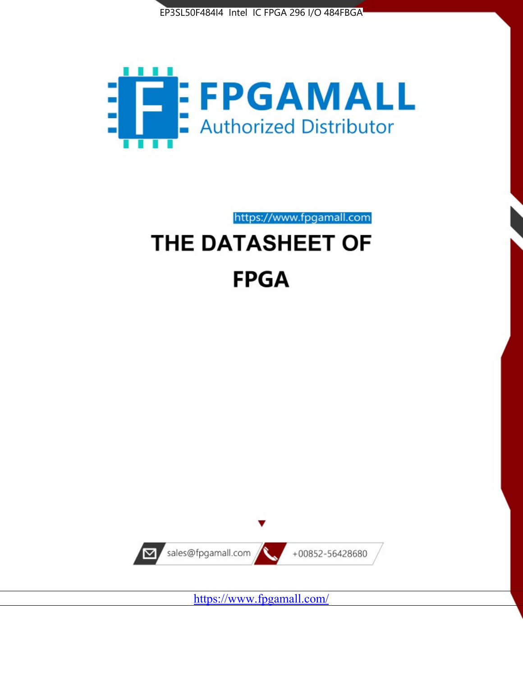



https://www.fpgamall.com

# THE DATASHEET OF **FPGA**



<https://www.fpgamall.com/>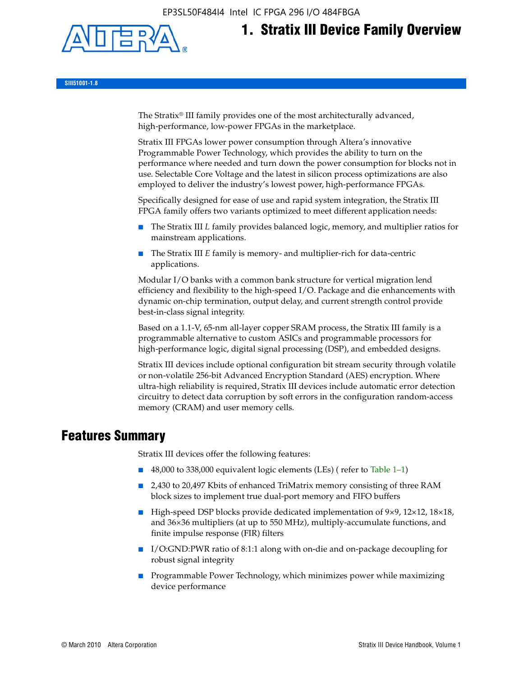EP3SL50F484I4 Intel IC FPGA 296 I/O 484FBGA



# **1. Stratix III Device Family Overview**

**SIII51001-1.8**

The Stratix® III family provides one of the most architecturally advanced, high-performance, low-power FPGAs in the marketplace.

Stratix III FPGAs lower power consumption through Altera's innovative Programmable Power Technology, which provides the ability to turn on the performance where needed and turn down the power consumption for blocks not in use. Selectable Core Voltage and the latest in silicon process optimizations are also employed to deliver the industry's lowest power, high-performance FPGAs.

Specifically designed for ease of use and rapid system integration, the Stratix III FPGA family offers two variants optimized to meet different application needs:

- The Stratix III *L* family provides balanced logic, memory, and multiplier ratios for mainstream applications.
- The Stratix III *E* family is memory- and multiplier-rich for data-centric applications.

Modular I/O banks with a common bank structure for vertical migration lend efficiency and flexibility to the high-speed I/O. Package and die enhancements with dynamic on-chip termination, output delay, and current strength control provide best-in-class signal integrity.

Based on a 1.1-V, 65-nm all-layer copper SRAM process, the Stratix III family is a programmable alternative to custom ASICs and programmable processors for high-performance logic, digital signal processing (DSP), and embedded designs.

Stratix III devices include optional configuration bit stream security through volatile or non-volatile 256-bit Advanced Encryption Standard (AES) encryption. Where ultra-high reliability is required, Stratix III devices include automatic error detection circuitry to detect data corruption by soft errors in the configuration random-access memory (CRAM) and user memory cells.

## **Features Summary**

Stratix III devices offer the following features:

- 48,000 to 338,000 equivalent logic elements (LEs) (refer to Table 1–1)
- 2,430 to 20,497 Kbits of enhanced TriMatrix memory consisting of three RAM block sizes to implement true dual-port memory and FIFO buffers
- High-speed DSP blocks provide dedicated implementation of 9×9, 12×12, 18×18, and 36×36 multipliers (at up to 550 MHz), multiply-accumulate functions, and finite impulse response (FIR) filters
- I/O:GND:PWR ratio of 8:1:1 along with on-die and on-package decoupling for robust signal integrity
- Programmable Power Technology, which minimizes power while maximizing device performance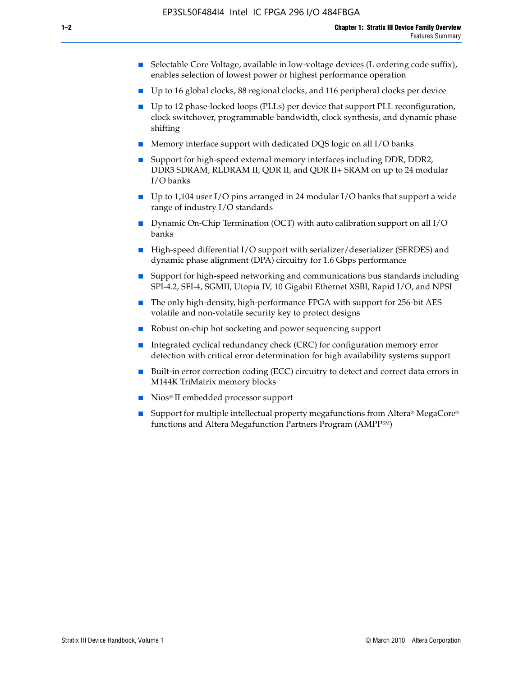- Selectable Core Voltage, available in low-voltage devices (L ordering code suffix), enables selection of lowest power or highest performance operation
- Up to 16 global clocks, 88 regional clocks, and 116 peripheral clocks per device
- Up to 12 phase-locked loops (PLLs) per device that support PLL reconfiguration, clock switchover, programmable bandwidth, clock synthesis, and dynamic phase shifting
- Memory interface support with dedicated DQS logic on all I/O banks
- Support for high-speed external memory interfaces including DDR, DDR2, DDR3 SDRAM, RLDRAM II, QDR II, and QDR II+ SRAM on up to 24 modular I/O banks
- Up to 1,104 user I/O pins arranged in 24 modular I/O banks that support a wide range of industry I/O standards
- Dynamic On-Chip Termination (OCT) with auto calibration support on all  $I/O$ banks
- High-speed differential I/O support with serializer/deserializer (SERDES) and dynamic phase alignment (DPA) circuitry for 1.6 Gbps performance
- Support for high-speed networking and communications bus standards including SPI-4.2, SFI-4, SGMII, Utopia IV, 10 Gigabit Ethernet XSBI, Rapid I/O, and NPSI
- The only high-density, high-performance FPGA with support for 256-bit AES volatile and non-volatile security key to protect designs
- Robust on-chip hot socketing and power sequencing support
- Integrated cyclical redundancy check (CRC) for configuration memory error detection with critical error determination for high availability systems support
- Built-in error correction coding (ECC) circuitry to detect and correct data errors in M144K TriMatrix memory blocks
- Nios<sup>®</sup> II embedded processor support
- Support for multiple intellectual property megafunctions from Altera® MegaCore® functions and Altera Megafunction Partners Program (AMPPSM)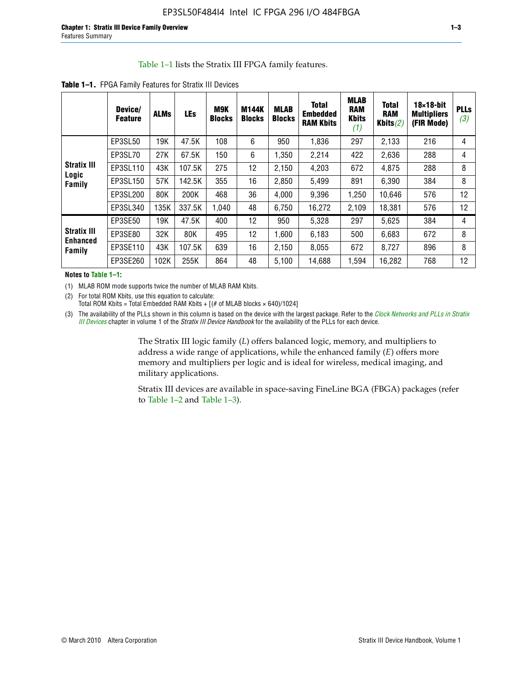#### Table 1–1 lists the Stratix III FPGA family features.

|                                                 | Device/<br><b>Feature</b> | <b>ALMs</b> | <b>LEs</b> | <b>M9K</b><br><b>Blocks</b> | <b>M144K</b><br><b>Blocks</b> | <b>MLAB</b><br><b>Blocks</b> | <b>Total</b><br><b>Embedded</b><br><b>RAM Kbits</b> | <b>MLAB</b><br><b>RAM</b><br><b>Kbits</b><br>(1) | <b>Total</b><br><b>RAM</b><br>Kbits $(2)$ | $18\times18$ -bit<br><b>Multipliers</b><br>(FIR Mode) | <b>PLLs</b><br>(3) |
|-------------------------------------------------|---------------------------|-------------|------------|-----------------------------|-------------------------------|------------------------------|-----------------------------------------------------|--------------------------------------------------|-------------------------------------------|-------------------------------------------------------|--------------------|
|                                                 | EP3SL50                   | 19K         | 47.5K      | 108                         | 6                             | 950                          | 1,836                                               | 297                                              | 2,133                                     | 216                                                   | 4                  |
|                                                 | EP3SL70                   | 27K         | 67.5K      | 150                         | 6                             | 1,350                        | 2,214                                               | 422                                              | 2,636                                     | 288                                                   | 4                  |
| <b>Stratix III</b>                              | EP3SL110                  | 43K         | 107.5K     | 275                         | 12                            | 2,150                        | 4,203                                               | 672                                              | 4,875                                     | 288                                                   | 8                  |
| Logic<br><b>Family</b>                          | EP3SL150                  | 57K         | 142.5K     | 355                         | 16                            | 2,850                        | 5,499                                               | 891                                              | 6,390                                     | 384                                                   | 8                  |
|                                                 | EP3SL200                  | 80K         | 200K       | 468                         | 36                            | 4,000                        | 9,396                                               | 1,250                                            | 10,646                                    | 576                                                   | 12                 |
|                                                 | EP3SL340                  | 135K        | 337.5K     | 1,040                       | 48                            | 6,750                        | 16,272                                              | 2,109                                            | 18,381                                    | 576                                                   | 12                 |
|                                                 | EP3SE50                   | 19K         | 47.5K      | 400                         | 12                            | 950                          | 5,328                                               | 297                                              | 5,625                                     | 384                                                   | 4                  |
| <b>Stratix III</b><br><b>Enhanced</b><br>Family | EP3SE80                   | 32K         | 80K        | 495                         | 12                            | 1,600                        | 6,183                                               | 500                                              | 6,683                                     | 672                                                   | 8                  |
|                                                 | EP3SE110                  | 43K         | 107.5K     | 639                         | 16                            | 2,150                        | 8,055                                               | 672                                              | 8,727                                     | 896                                                   | 8                  |
|                                                 | EP3SE260                  | 102K        | 255K       | 864                         | 48                            | 5,100                        | 14,688                                              | 1,594                                            | 16,282                                    | 768                                                   | 12                 |

**Table 1–1.** FPGA Family Features for Stratix III Devices

**Notes to Table 1–1:**

(1) MLAB ROM mode supports twice the number of MLAB RAM Kbits.

(2) For total ROM Kbits, use this equation to calculate: Total ROM Kbits = Total Embedded RAM Kbits +  $[(# of MLAB blocks × 640)/1024]$ 

(3) The availability of the PLLs shown in this column is based on the device with the largest package. Refer to the *[Clock Networks and PLLs in Stratix](http://www.altera.com/literature/hb/stx3/stx3_siii51006.pdf)  [III Devices](http://www.altera.com/literature/hb/stx3/stx3_siii51006.pdf)* chapter in volume 1 of the *Stratix III Device Handbook* for the availability of the PLLs for each device.

> The Stratix III logic family (*L*) offers balanced logic, memory, and multipliers to address a wide range of applications, while the enhanced family (*E*) offers more memory and multipliers per logic and is ideal for wireless, medical imaging, and military applications.

Stratix III devices are available in space-saving FineLine BGA (FBGA) packages (refer to Table 1–2 and Table 1–3).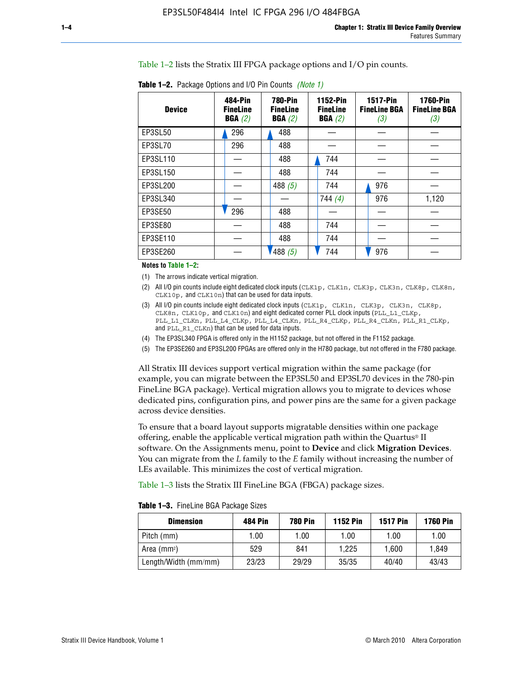Table 1–2 lists the Stratix III FPGA package options and I/O pin counts.

| <b>Device</b> | 484-Pin<br><b>FineLine</b><br>BGA(2) | <b>780-Pin</b><br><b>FineLine</b><br>BGA(2) | 1152-Pin<br><b>FineLine</b><br>BGA(2) | <b>1517-Pin</b><br><b>FineLine BGA</b><br>(3) | <b>1760-Pin</b><br><b>FineLine BGA</b><br>(3) |
|---------------|--------------------------------------|---------------------------------------------|---------------------------------------|-----------------------------------------------|-----------------------------------------------|
| EP3SL50       | 296                                  | 488                                         |                                       |                                               |                                               |
| EP3SL70       | 296                                  | 488                                         |                                       |                                               |                                               |
| EP3SL110      |                                      | 488                                         | 744                                   |                                               |                                               |
| EP3SL150      |                                      | 488                                         | 744                                   |                                               |                                               |
| EP3SL200      |                                      | 488 $(5)$                                   | 744                                   | 976                                           |                                               |
| EP3SL340      |                                      |                                             | 744(4)                                | 976                                           | 1,120                                         |
| EP3SE50       | 296                                  | 488                                         |                                       |                                               |                                               |
| EP3SE80       |                                      | 488                                         | 744                                   |                                               |                                               |
| EP3SE110      |                                      | 488                                         | 744                                   |                                               |                                               |
| EP3SE260      |                                      | 1488(5)                                     | 744                                   | 976                                           |                                               |

**Table 1–2.** Package Options and I/O Pin Counts *(Note 1)*

**Notes to Table 1–2:**

(1) The arrows indicate vertical migration.

- (2) All I/O pin counts include eight dedicated clock inputs (CLK1p, CLK1n, CLK3p, CLK3n, CLK8p, CLK8n, CLK10p, and CLK10n) that can be used for data inputs.
- (3) All I/O pin counts include eight dedicated clock inputs (CLK1p, CLK1n, CLK3p, CLK3n, CLK8p, CLK8n, CLK10p, and CLK10n) and eight dedicated corner PLL clock inputs (PLL\_L1\_CLKp, PLL\_L1\_CLKn, PLL\_L4\_CLKp, PLL\_L4\_CLKn, PLL\_R4\_CLKp, PLL\_R4\_CLKn, PLL\_R1\_CLKp, and PLL\_R1\_CLKn) that can be used for data inputs.
- (4) The EP3SL340 FPGA is offered only in the H1152 package, but not offered in the F1152 package.
- (5) The EP3SE260 and EP3SL200 FPGAs are offered only in the H780 package, but not offered in the F780 package.

All Stratix III devices support vertical migration within the same package (for example, you can migrate between the EP3SL50 and EP3SL70 devices in the 780-pin FineLine BGA package). Vertical migration allows you to migrate to devices whose dedicated pins, configuration pins, and power pins are the same for a given package across device densities.

To ensure that a board layout supports migratable densities within one package offering, enable the applicable vertical migration path within the Quartus® II software. On the Assignments menu, point to **Device** and click **Migration Devices**. You can migrate from the *L* family to the *E* family without increasing the number of LEs available. This minimizes the cost of vertical migration.

Table 1–3 lists the Stratix III FineLine BGA (FBGA) package sizes.

**Table 1–3.** FineLine BGA Package Sizes

| <b>Dimension</b>     | <b>484 Pin</b> | <b>780 Pin</b> | <b>1152 Pin</b> | <b>1517 Pin</b> | <b>1760 Pin</b> |
|----------------------|----------------|----------------|-----------------|-----------------|-----------------|
| Pitch (mm)           | 1.00           | 1.00           | 1.00            | 1.00            | 1.00            |
| Area $(mm2)$         | 529            | 841            | 1.225           | 1.600           | 1.849           |
| Length/Width (mm/mm) | 23/23          | 29/29          | 35/35           | 40/40           | 43/43           |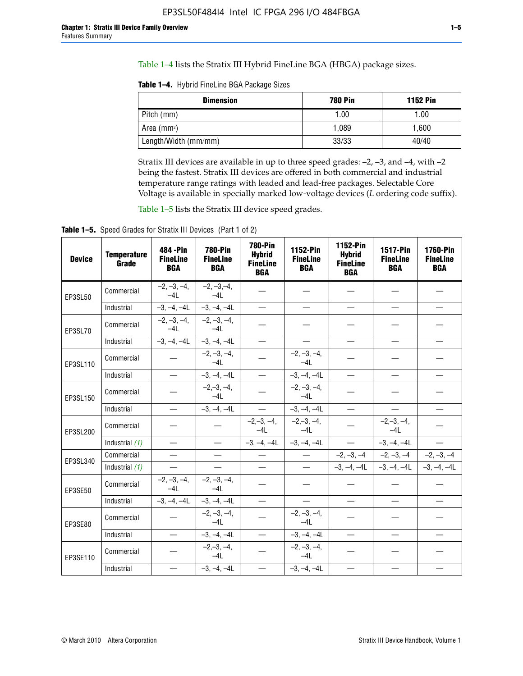Table 1–4 lists the Stratix III Hybrid FineLine BGA (HBGA) package sizes.

**Table 1–4.** Hybrid FineLine BGA Package Sizes

| <b>Dimension</b>        | <b>780 Pin</b> | <b>1152 Pin</b> |
|-------------------------|----------------|-----------------|
| Pitch (mm)              | 1.00           | 1.00            |
| Area (mm <sup>2</sup> ) | 1.089          | 1.600           |
| Length/Width (mm/mm)    | 33/33          | 40/40           |

Stratix III devices are available in up to three speed grades: –2, –3, and –4, with –2 being the fastest. Stratix III devices are offered in both commercial and industrial temperature range ratings with leaded and lead-free packages. Selectable Core Voltage is available in specially marked low-voltage devices (*L* ordering code suffix).

Table 1–5 lists the Stratix III device speed grades.

Table 1-5. Speed Grades for Stratix III Devices (Part 1 of 2)

| <b>Device</b> | <b>Temperature</b><br>Grade | 484 - Pin<br><b>FineLine</b><br><b>BGA</b> | <b>780-Pin</b><br><b>FineLine</b><br><b>BGA</b> | 780-Pin<br><b>Hybrid</b><br><b>FineLine</b><br><b>BGA</b> | 1152-Pin<br><b>FineLine</b><br><b>BGA</b> | 1152-Pin<br><b>Hybrid</b><br><b>FineLine</b><br><b>BGA</b> | 1517-Pin<br><b>FineLine</b><br><b>BGA</b> | <b>1760-Pin</b><br><b>FineLine</b><br><b>BGA</b> |
|---------------|-----------------------------|--------------------------------------------|-------------------------------------------------|-----------------------------------------------------------|-------------------------------------------|------------------------------------------------------------|-------------------------------------------|--------------------------------------------------|
| EP3SL50       | Commercial                  | $-2, -3, -4,$<br>$-41$                     | $-2, -3, -4,$<br>$-4L$                          |                                                           |                                           |                                                            |                                           |                                                  |
|               | Industrial                  | $-3, -4, -4L$                              | $-3, -4, -4L$                                   | $\equiv$                                                  | $\equiv$                                  | $\overline{\phantom{0}}$                                   | $\overline{\phantom{0}}$                  | $\overline{\phantom{0}}$                         |
| EP3SL70       | Commercial                  | $-2, -3, -4,$<br>$-41$                     | $-2, -3, -4,$<br>$-41$                          |                                                           |                                           |                                                            |                                           |                                                  |
|               | Industrial                  | $-3, -4, -4L$                              | $-3, -4, -4L$                                   | $\qquad \qquad -$                                         |                                           | $\overline{\phantom{0}}$                                   | $\equiv$                                  |                                                  |
| EP3SL110      | Commercial                  |                                            | $-2, -3, -4,$<br>$-4L$                          |                                                           | $-2, -3, -4,$<br>$-4L$                    |                                                            |                                           |                                                  |
|               | Industrial                  | $\overline{\phantom{0}}$                   | $-3, -4, -4L$                                   | $\frac{1}{1}$                                             | $-3, -4, -4L$                             | $\equiv$                                                   | $\equiv$                                  | $\overline{\phantom{0}}$                         |
| EP3SL150      | Commercial                  |                                            | $-2, -3, -4,$<br>$-41$                          |                                                           | $-2, -3, -4,$<br>$-41$                    |                                                            |                                           |                                                  |
|               | Industrial                  |                                            | $-3, -4, -4L$                                   | $\frac{1}{2}$                                             | $-3, -4, -4L$                             |                                                            |                                           | $\equiv$                                         |
| EP3SL200      | Commercial                  |                                            |                                                 | $-2, -3, -4,$<br>$-4L$                                    | $-2, -3, -4,$<br>$-4L$                    |                                                            | $-2,-3,-4,$<br>$-4L$                      |                                                  |
|               | Industrial (1)              | $\equiv$                                   | $\equiv$                                        | $-3, -4, -4L$                                             | $-3, -4, -4L$                             | $\frac{1}{1}$                                              | $-3, -4, -4L$                             | $\frac{1}{1}$                                    |
| EP3SL340      | Commercial                  |                                            | $\equiv$                                        |                                                           | $\frac{1}{2}$                             |                                                            | $-2, -3, -4$ $-2, -3, -4$                 | $-2, -3, -4$                                     |
|               | Industrial $(1)$            |                                            |                                                 | $\overline{\phantom{0}}$                                  | $-$                                       |                                                            | $-3, -4, -4$ $-3, -4, -4$                 | $-3, -4, -4L$                                    |
| EP3SE50       | Commercial                  | $-2, -3, -4,$<br>$-4L$                     | $-2, -3, -4,$<br>$-4L$                          |                                                           |                                           |                                                            |                                           |                                                  |
|               | Industrial                  | $-3, -4, -4L$                              | $-3, -4, -4L$                                   | $\equiv$                                                  | $\overline{\phantom{0}}$                  | $\overline{\phantom{0}}$                                   | $\overline{\phantom{0}}$                  | $\overline{\phantom{0}}$                         |
| EP3SE80       | Commercial                  |                                            | $-2, -3, -4,$<br>$-4L$                          |                                                           | $-2, -3, -4,$<br>$-4L$                    |                                                            |                                           |                                                  |
|               | Industrial                  |                                            | $-3, -4, -4L$                                   |                                                           | $-3, -4, -4L$                             |                                                            | $\equiv$                                  |                                                  |
| EP3SE110      | Commercial                  |                                            | $-2, -3, -4,$<br>$-4L$                          |                                                           | $-2, -3, -4,$<br>$-41$                    |                                                            |                                           |                                                  |
|               | Industrial                  |                                            | $-3, -4, -4L$                                   | $\overline{\phantom{0}}$                                  | $-3, -4, -4L$                             |                                                            |                                           |                                                  |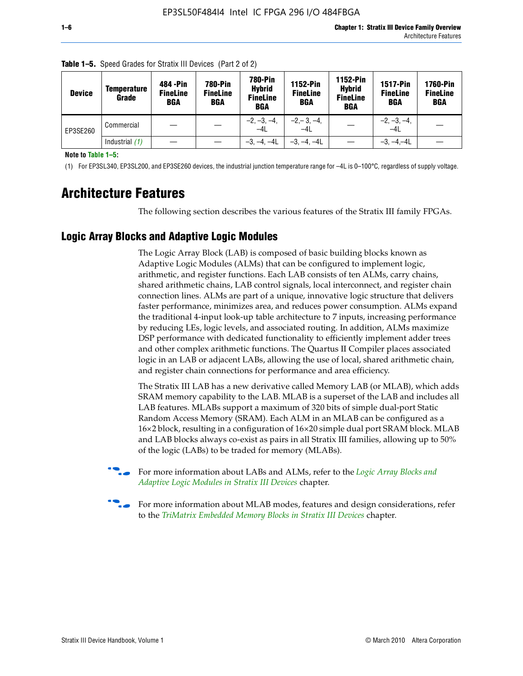| <b>Device</b> | <b>Temperature</b><br>Grade | 484 - Pin<br><b>FineLine</b><br><b>BGA</b> | <b>780-Pin</b><br><b>FineLine</b><br><b>BGA</b> | 780-Pin<br><b>Hybrid</b><br><b>FineLine</b><br><b>BGA</b> | 1152-Pin<br><b>FineLine</b><br><b>BGA</b> | 1152-Pin<br><b>Hybrid</b><br><b>FineLine</b><br><b>BGA</b> | <b>1517-Pin</b><br><b>FineLine</b><br><b>BGA</b> | <b>1760-Pin</b><br><b>FineLine</b><br>BGA |
|---------------|-----------------------------|--------------------------------------------|-------------------------------------------------|-----------------------------------------------------------|-------------------------------------------|------------------------------------------------------------|--------------------------------------------------|-------------------------------------------|
| EP3SE260      | Commercial                  |                                            |                                                 | $-2, -3, -4,$<br>$-4L$                                    | $-2, -3, -4,$<br>$-4L$                    |                                                            | $-2, -3, -4,$<br>$-4L$                           |                                           |
|               | Industrial $(1)$            |                                            |                                                 | $-3, -4, -4L$                                             | $-3, -4, -4L$                             |                                                            | $-3, -4, -4L$                                    |                                           |

**Table 1–5.** Speed Grades for Stratix III Devices (Part 2 of 2)

**Note to Table 1–5:**

(1) For EP3SL340, EP3SL200, and EP3SE260 devices, the industrial junction temperature range for –4L is 0–100°C, regardless of supply voltage.

# **Architecture Features**

The following section describes the various features of the Stratix III family FPGAs.

## **Logic Array Blocks and Adaptive Logic Modules**

The Logic Array Block (LAB) is composed of basic building blocks known as Adaptive Logic Modules (ALMs) that can be configured to implement logic, arithmetic, and register functions. Each LAB consists of ten ALMs, carry chains, shared arithmetic chains, LAB control signals, local interconnect, and register chain connection lines. ALMs are part of a unique, innovative logic structure that delivers faster performance, minimizes area, and reduces power consumption. ALMs expand the traditional 4-input look-up table architecture to 7 inputs, increasing performance by reducing LEs, logic levels, and associated routing. In addition, ALMs maximize DSP performance with dedicated functionality to efficiently implement adder trees and other complex arithmetic functions. The Quartus II Compiler places associated logic in an LAB or adjacent LABs, allowing the use of local, shared arithmetic chain, and register chain connections for performance and area efficiency.

The Stratix III LAB has a new derivative called Memory LAB (or MLAB), which adds SRAM memory capability to the LAB. MLAB is a superset of the LAB and includes all LAB features. MLABs support a maximum of 320 bits of simple dual-port Static Random Access Memory (SRAM). Each ALM in an MLAB can be configured as a 16×2 block, resulting in a configuration of 16×20 simple dual port SRAM block. MLAB and LAB blocks always co-exist as pairs in all Stratix III families, allowing up to 50% of the logic (LABs) to be traded for memory (MLABs).



f For more information about LABs and ALMs, refer to the *[Logic Array Blocks and](http://www.altera.com/literature/hb/stx3/stx3_siii51002.pdf)  [Adaptive Logic Modules in Stratix III Devices](http://www.altera.com/literature/hb/stx3/stx3_siii51002.pdf)* chapter.



For more information about MLAB modes, features and design considerations, refer to the *[TriMatrix Embedded Memory Blocks in Stratix III Devices](http://www.altera.com/literature/hb/stx3/stx3_siii51004.pdf)* chapter.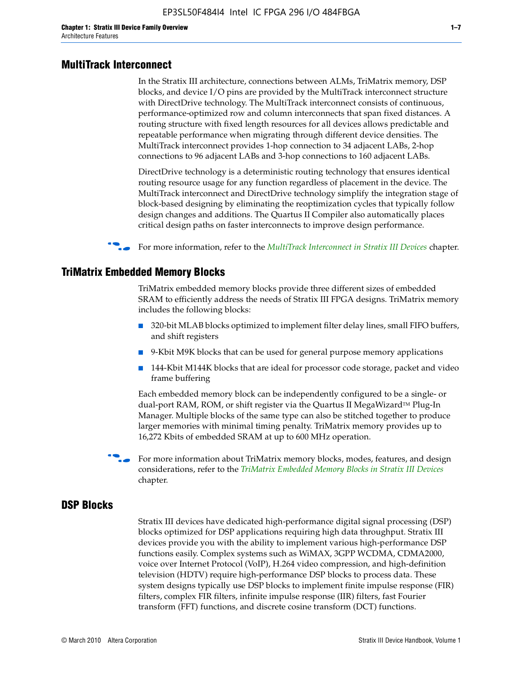#### **MultiTrack Interconnect**

In the Stratix III architecture, connections between ALMs, TriMatrix memory, DSP blocks, and device I/O pins are provided by the MultiTrack interconnect structure with DirectDrive technology. The MultiTrack interconnect consists of continuous, performance-optimized row and column interconnects that span fixed distances. A routing structure with fixed length resources for all devices allows predictable and repeatable performance when migrating through different device densities. The MultiTrack interconnect provides 1-hop connection to 34 adjacent LABs, 2-hop connections to 96 adjacent LABs and 3-hop connections to 160 adjacent LABs.

DirectDrive technology is a deterministic routing technology that ensures identical routing resource usage for any function regardless of placement in the device. The MultiTrack interconnect and DirectDrive technology simplify the integration stage of block-based designing by eliminating the reoptimization cycles that typically follow design changes and additions. The Quartus II Compiler also automatically places critical design paths on faster interconnects to improve design performance.

#### f For more information, refer to the *[MultiTrack Interconnect in Stratix III Devices](http://www.altera.com/literature/hb/stx3/stx3_siii51003.pdf)* chapter.

#### **TriMatrix Embedded Memory Blocks**

TriMatrix embedded memory blocks provide three different sizes of embedded SRAM to efficiently address the needs of Stratix III FPGA designs. TriMatrix memory includes the following blocks:

- 320-bit MLAB blocks optimized to implement filter delay lines, small FIFO buffers, and shift registers
- 9-Kbit M9K blocks that can be used for general purpose memory applications
- 144-Kbit M144K blocks that are ideal for processor code storage, packet and video frame buffering

Each embedded memory block can be independently configured to be a single- or dual-port RAM, ROM, or shift register via the Quartus II MegaWizard™ Plug-In Manager. Multiple blocks of the same type can also be stitched together to produce larger memories with minimal timing penalty. TriMatrix memory provides up to 16,272 Kbits of embedded SRAM at up to 600 MHz operation.

For more information about TriMatrix memory blocks, modes, features, and design considerations, refer to the *[TriMatrix Embedded Memory Blocks in Stratix III Devices](http://www.altera.com/literature/hb/stx3/stx3_siii51004.pdf)* chapter.

#### **DSP Blocks**

Stratix III devices have dedicated high-performance digital signal processing (DSP) blocks optimized for DSP applications requiring high data throughput. Stratix III devices provide you with the ability to implement various high-performance DSP functions easily. Complex systems such as WiMAX, 3GPP WCDMA, CDMA2000, voice over Internet Protocol (VoIP), H.264 video compression, and high-definition television (HDTV) require high-performance DSP blocks to process data. These system designs typically use DSP blocks to implement finite impulse response (FIR) filters, complex FIR filters, infinite impulse response (IIR) filters, fast Fourier transform (FFT) functions, and discrete cosine transform (DCT) functions.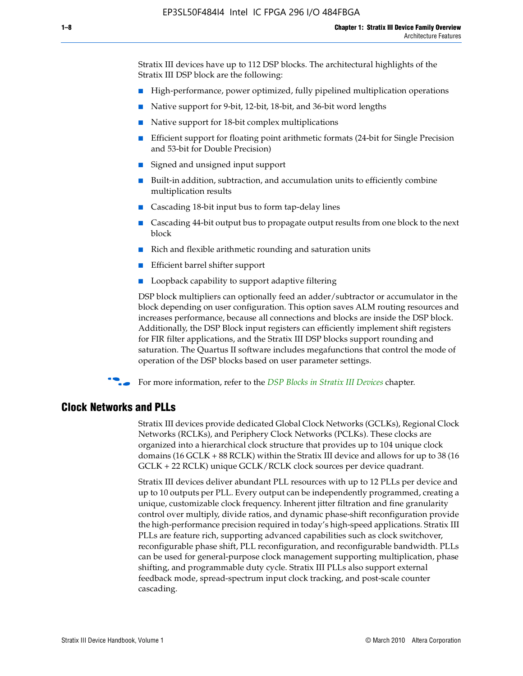Stratix III devices have up to 112 DSP blocks. The architectural highlights of the Stratix III DSP block are the following:

- High-performance, power optimized, fully pipelined multiplication operations
- Native support for 9-bit, 12-bit, 18-bit, and 36-bit word lengths
- Native support for 18-bit complex multiplications
- Efficient support for floating point arithmetic formats (24-bit for Single Precision and 53-bit for Double Precision)
- Signed and unsigned input support
- Built-in addition, subtraction, and accumulation units to efficiently combine multiplication results
- Cascading 18-bit input bus to form tap-delay lines
- Cascading 44-bit output bus to propagate output results from one block to the next block
- Rich and flexible arithmetic rounding and saturation units
- Efficient barrel shifter support
- Loopback capability to support adaptive filtering

DSP block multipliers can optionally feed an adder/subtractor or accumulator in the block depending on user configuration. This option saves ALM routing resources and increases performance, because all connections and blocks are inside the DSP block. Additionally, the DSP Block input registers can efficiently implement shift registers for FIR filter applications, and the Stratix III DSP blocks support rounding and saturation. The Quartus II software includes megafunctions that control the mode of operation of the DSP blocks based on user parameter settings.

f For more information, refer to the *[DSP Blocks in Stratix III Devices](http://www.altera.com/literature/hb/stx3/stx3_siii51005.pdf)* chapter.

#### **Clock Networks and PLLs**

Stratix III devices provide dedicated Global Clock Networks (GCLKs), Regional Clock Networks (RCLKs), and Periphery Clock Networks (PCLKs). These clocks are organized into a hierarchical clock structure that provides up to 104 unique clock domains (16 GCLK + 88 RCLK) within the Stratix III device and allows for up to 38 (16 GCLK + 22 RCLK) unique GCLK/RCLK clock sources per device quadrant.

Stratix III devices deliver abundant PLL resources with up to 12 PLLs per device and up to 10 outputs per PLL. Every output can be independently programmed, creating a unique, customizable clock frequency. Inherent jitter filtration and fine granularity control over multiply, divide ratios, and dynamic phase-shift reconfiguration provide the high-performance precision required in today's high-speed applications. Stratix III PLLs are feature rich, supporting advanced capabilities such as clock switchover, reconfigurable phase shift, PLL reconfiguration, and reconfigurable bandwidth. PLLs can be used for general-purpose clock management supporting multiplication, phase shifting, and programmable duty cycle. Stratix III PLLs also support external feedback mode, spread-spectrum input clock tracking, and post-scale counter cascading.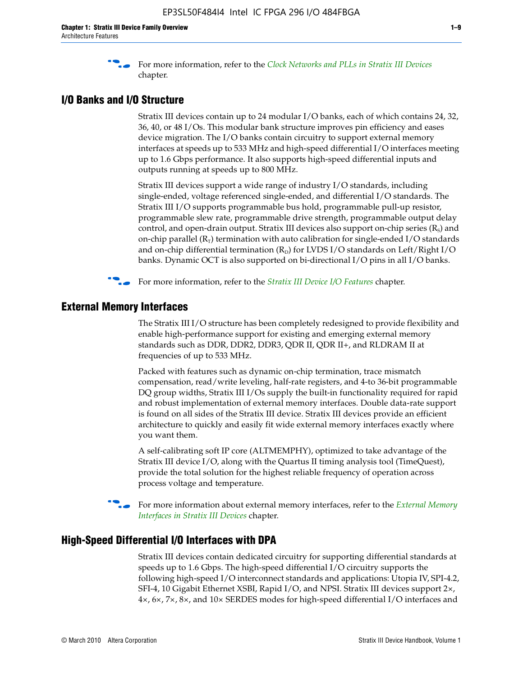f For more information, refer to the *[Clock Networks and PLLs in Stratix III Devices](http://www.altera.com/literature/hb/stx3/stx3_siii51006.pdf)* chapter.

### **I/O Banks and I/O Structure**

Stratix III devices contain up to 24 modular I/O banks, each of which contains 24, 32, 36, 40, or 48 I/Os. This modular bank structure improves pin efficiency and eases device migration. The I/O banks contain circuitry to support external memory interfaces at speeds up to 533 MHz and high-speed differential I/O interfaces meeting up to 1.6 Gbps performance. It also supports high-speed differential inputs and outputs running at speeds up to 800 MHz.

Stratix III devices support a wide range of industry I/O standards, including single-ended, voltage referenced single-ended, and differential I/O standards. The Stratix III I/O supports programmable bus hold, programmable pull-up resistor, programmable slew rate, programmable drive strength, programmable output delay control, and open-drain output. Stratix III devices also support on-chip series  $(R<sub>s</sub>)$  and on-chip parallel  $(R_T)$  termination with auto calibration for single-ended I/O standards and on-chip differential termination  $(R_D)$  for LVDS I/O standards on Left/Right I/O banks. Dynamic OCT is also supported on bi-directional I/O pins in all I/O banks.

**For more information, refer to the** *[Stratix III Device I/O Features](http://www.altera.com/literature/hb/stx3/stx3_siii51007.pdf)* **chapter.** 

## **External Memory Interfaces**

The Stratix III I/O structure has been completely redesigned to provide flexibility and enable high-performance support for existing and emerging external memory standards such as DDR, DDR2, DDR3, QDR II, QDR II+, and RLDRAM II at frequencies of up to 533 MHz.

Packed with features such as dynamic on-chip termination, trace mismatch compensation, read/write leveling, half-rate registers, and 4-to 36-bit programmable DQ group widths, Stratix III I/Os supply the built-in functionality required for rapid and robust implementation of external memory interfaces. Double data-rate support is found on all sides of the Stratix III device. Stratix III devices provide an efficient architecture to quickly and easily fit wide external memory interfaces exactly where you want them.

A self-calibrating soft IP core (ALTMEMPHY), optimized to take advantage of the Stratix III device I/O, along with the Quartus II timing analysis tool (TimeQuest), provide the total solution for the highest reliable frequency of operation across process voltage and temperature.

f For more information about external memory interfaces, refer to the *[External Memory](http://www.altera.com/literature/hb/stx3/stx3_siii51008.pdf)  [Interfaces in Stratix III Devices](http://www.altera.com/literature/hb/stx3/stx3_siii51008.pdf)* chapter.

#### **High-Speed Differential I/O Interfaces with DPA**

Stratix III devices contain dedicated circuitry for supporting differential standards at speeds up to 1.6 Gbps. The high-speed differential I/O circuitry supports the following high-speed I/O interconnect standards and applications: Utopia IV, SPI-4.2, SFI-4, 10 Gigabit Ethernet XSBI, Rapid I/O, and NPSI. Stratix III devices support 2×, 4×, 6×, 7×, 8×, and 10× SERDES modes for high-speed differential I/O interfaces and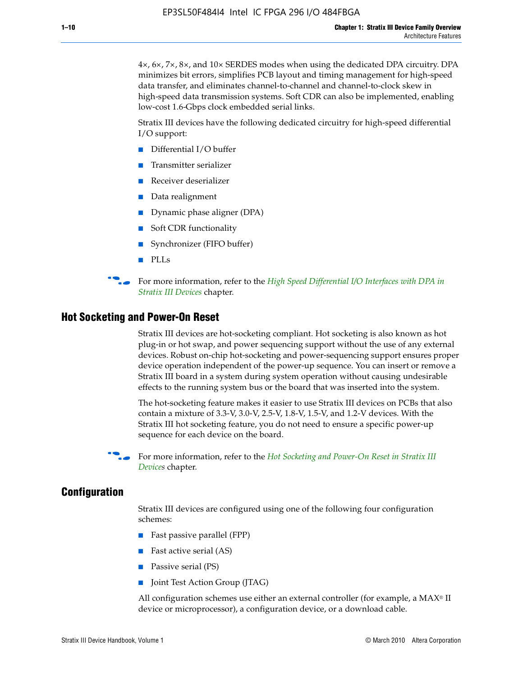4×, 6×, 7×, 8×, and 10× SERDES modes when using the dedicated DPA circuitry. DPA minimizes bit errors, simplifies PCB layout and timing management for high-speed data transfer, and eliminates channel-to-channel and channel-to-clock skew in high-speed data transmission systems. Soft CDR can also be implemented, enabling low-cost 1.6-Gbps clock embedded serial links.

Stratix III devices have the following dedicated circuitry for high-speed differential I/O support:

- Differential I/O buffer
- Transmitter serializer
- Receiver deserializer
- Data realignment
- Dynamic phase aligner (DPA)
- Soft CDR functionality
- Synchronizer (FIFO buffer)
- PLLs

**For more information, refer to the** *High Speed Differential I/O Interfaces with DPA in [Stratix III Devices](http://www.altera.com/literature/hb/stx3/stx3_siii51009.pdf)* chapter.

#### **Hot Socketing and Power-On Reset**

Stratix III devices are hot-socketing compliant. Hot socketing is also known as hot plug-in or hot swap, and power sequencing support without the use of any external devices. Robust on-chip hot-socketing and power-sequencing support ensures proper device operation independent of the power-up sequence. You can insert or remove a Stratix III board in a system during system operation without causing undesirable effects to the running system bus or the board that was inserted into the system.

The hot-socketing feature makes it easier to use Stratix III devices on PCBs that also contain a mixture of 3.3-V, 3.0-V, 2.5-V, 1.8-V, 1.5-V, and 1.2-V devices. With the Stratix III hot socketing feature, you do not need to ensure a specific power-up sequence for each device on the board.

For more information, refer to the *Hot Socketing and Power-On Reset in Stratix III [Device](http://www.altera.com/literature/hb/stx3/stx3_siii51010.pdf)s* chapter.

#### **Configuration**

Stratix III devices are configured using one of the following four configuration schemes:

- Fast passive parallel (FPP)
- Fast active serial (AS)
- Passive serial (PS)
- Joint Test Action Group (JTAG)

All configuration schemes use either an external controller (for example, a  $MAX<sup>®</sup>$  II device or microprocessor), a configuration device, or a download cable.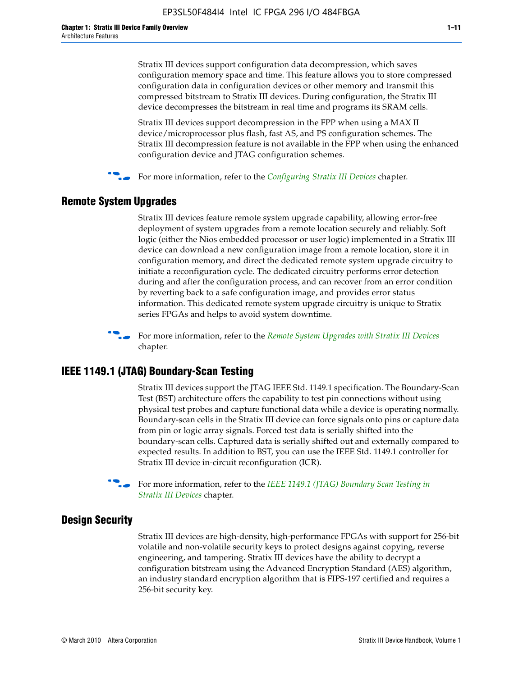Stratix III devices support configuration data decompression, which saves configuration memory space and time. This feature allows you to store compressed configuration data in configuration devices or other memory and transmit this compressed bitstream to Stratix III devices. During configuration, the Stratix III device decompresses the bitstream in real time and programs its SRAM cells.

Stratix III devices support decompression in the FPP when using a MAX II device/microprocessor plus flash, fast AS, and PS configuration schemes. The Stratix III decompression feature is not available in the FPP when using the enhanced configuration device and JTAG configuration schemes.

For more information, refer to the *[Configuring Stratix III Devices](http://www.altera.com/literature/hb/stx3/stx3_siii51011.pdf)* chapter.

## **Remote System Upgrades**

Stratix III devices feature remote system upgrade capability, allowing error-free deployment of system upgrades from a remote location securely and reliably. Soft logic (either the Nios embedded processor or user logic) implemented in a Stratix III device can download a new configuration image from a remote location, store it in configuration memory, and direct the dedicated remote system upgrade circuitry to initiate a reconfiguration cycle. The dedicated circuitry performs error detection during and after the configuration process, and can recover from an error condition by reverting back to a safe configuration image, and provides error status information. This dedicated remote system upgrade circuitry is unique to Stratix series FPGAs and helps to avoid system downtime.



**For more information, refer to the** *[Remote System Upgrades with Stratix III Devices](http://www.altera.com/literature/hb/stx3/stx3_siii51012.pdf)* chapter.

#### **IEEE 1149.1 (JTAG) Boundary-Scan Testing**

Stratix III devices support the JTAG IEEE Std. 1149.1 specification. The Boundary-Scan Test (BST) architecture offers the capability to test pin connections without using physical test probes and capture functional data while a device is operating normally. Boundary-scan cells in the Stratix III device can force signals onto pins or capture data from pin or logic array signals. Forced test data is serially shifted into the boundary-scan cells. Captured data is serially shifted out and externally compared to expected results. In addition to BST, you can use the IEEE Std. 1149.1 controller for Stratix III device in-circuit reconfiguration (ICR).

For more information, refer to the *IEEE 1149.1 (JTAG) Boundary Scan Testing in [Stratix III Devices](http://www.altera.com/literature/hb/stx3/stx3_siii51013.pdf)* chapter.

## **Design Security**

Stratix III devices are high-density, high-performance FPGAs with support for 256-bit volatile and non-volatile security keys to protect designs against copying, reverse engineering, and tampering. Stratix III devices have the ability to decrypt a configuration bitstream using the Advanced Encryption Standard (AES) algorithm, an industry standard encryption algorithm that is FIPS-197 certified and requires a 256-bit security key.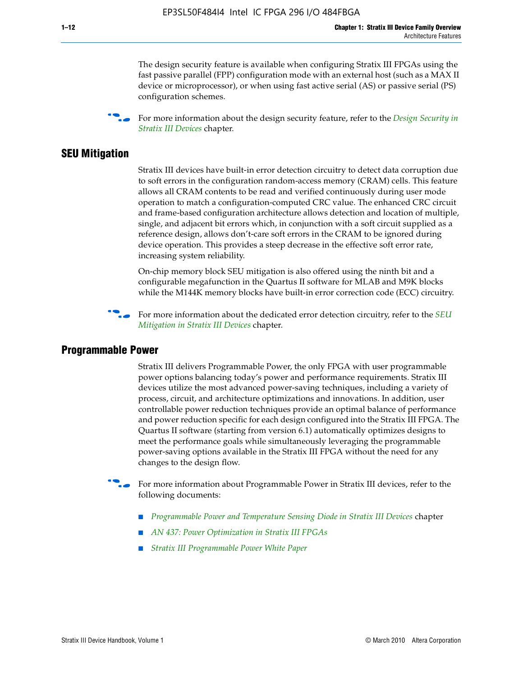The design security feature is available when configuring Stratix III FPGAs using the fast passive parallel (FPP) configuration mode with an external host (such as a MAX II device or microprocessor), or when using fast active serial (AS) or passive serial (PS) configuration schemes.

f For more information about the design security feature, refer to the *[Design Security in](http://www.altera.com/literature/hb/stx3/stx3_siii51014.pdf)  [Stratix III Devices](http://www.altera.com/literature/hb/stx3/stx3_siii51014.pdf)* chapter.

#### **SEU Mitigation**

Stratix III devices have built-in error detection circuitry to detect data corruption due to soft errors in the configuration random-access memory (CRAM) cells. This feature allows all CRAM contents to be read and verified continuously during user mode operation to match a configuration-computed CRC value. The enhanced CRC circuit and frame-based configuration architecture allows detection and location of multiple, single, and adjacent bit errors which, in conjunction with a soft circuit supplied as a reference design, allows don't-care soft errors in the CRAM to be ignored during device operation. This provides a steep decrease in the effective soft error rate, increasing system reliability.

On-chip memory block SEU mitigation is also offered using the ninth bit and a configurable megafunction in the Quartus II software for MLAB and M9K blocks while the M144K memory blocks have built-in error correction code (ECC) circuitry.

For more information about the dedicated error detection circuitry, refer to the *SEU [Mitigation in Stratix III Devices](http://www.altera.com/literature/hb/stx3/stx3_siii51015.pdf)* chapter.

#### **Programmable Power**

Stratix III delivers Programmable Power, the only FPGA with user programmable power options balancing today's power and performance requirements. Stratix III devices utilize the most advanced power-saving techniques, including a variety of process, circuit, and architecture optimizations and innovations. In addition, user controllable power reduction techniques provide an optimal balance of performance and power reduction specific for each design configured into the Stratix III FPGA. The Quartus II software (starting from version 6.1) automatically optimizes designs to meet the performance goals while simultaneously leveraging the programmable power-saving options available in the Stratix III FPGA without the need for any changes to the design flow.

For more information about Programmable Power in Stratix III devices, refer to the following documents:

- *[Programmable Power and Temperature Sensing Diode in Stratix III Devices](http://www.altera.com/literature/hb/stx3/stx3_siii51016.pdf)* chapter
- *[AN 437: Power Optimization in Stratix III FPGAs](http://www.altera.com/literature/an/AN437.pdf)*
- *[Stratix III Programmable Power White Paper](http://www.altera.com/literature/wp/wp-01006.pdf)*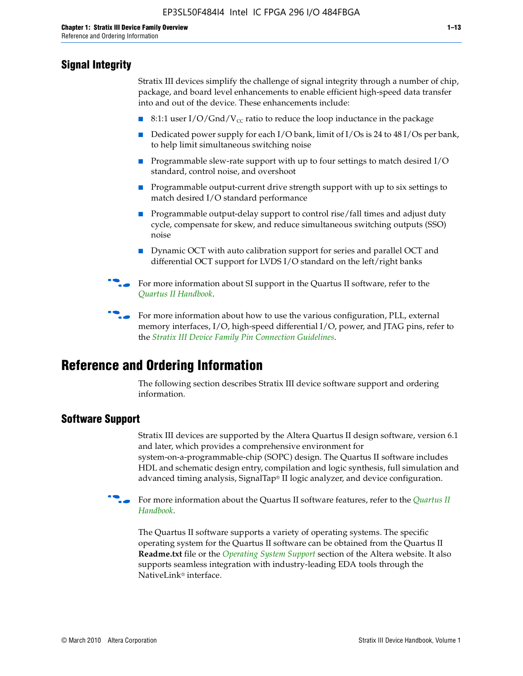## **Signal Integrity**

Stratix III devices simplify the challenge of signal integrity through a number of chip, package, and board level enhancements to enable efficient high-speed data transfer into and out of the device. These enhancements include:

- 8:1:1 user I/O/Gnd/V<sub>cc</sub> ratio to reduce the loop inductance in the package
- Dedicated power supply for each I/O bank, limit of I/Os is 24 to 48 I/Os per bank, to help limit simultaneous switching noise
- Programmable slew-rate support with up to four settings to match desired I/O standard, control noise, and overshoot
- Programmable output-current drive strength support with up to six settings to match desired I/O standard performance
- Programmable output-delay support to control rise/fall times and adjust duty cycle, compensate for skew, and reduce simultaneous switching outputs (SSO) noise
- Dynamic OCT with auto calibration support for series and parallel OCT and differential OCT support for LVDS I/O standard on the left/right banks
- For mor[e](http://www.altera.com/literature/hb/qts/quartusii_handbook.pdf) information about SI support in the Quartus II software, refer to the *[Quartus II Handbook](http://www.altera.com/literature/hb/qts/quartusii_handbook.pdf)*.

For more information about how to use the various configuration, PLL, external memory interfaces, I/O, high-speed differential I/O, power, and JTAG pins, refer to the *[Stratix III Device Family Pin Connection Guidelines](http://www.altera.com/literature/dp/stx3/PCG-01004.pdf)*.

# **Reference and Ordering Information**

The following section describes Stratix III device software support and ordering information.

## **Software Support**

Stratix III devices are supported by the Altera Quartus II design software, version 6.1 and later, which provides a comprehensive environment for system-on-a-programmable-chip (SOPC) design. The Quartus II software includes HDL and schematic design entry, compilation and logic synthesis, full simulation and advanced timing analysis, SignalTap® II logic analyzer, and device configuration.

**For more information about the [Quartus II](http://www.altera.com/literature/hb/qts/quartusii_handbook.pdf) software features, refer to the** *Quartus II* **<b>Fig. 7** *[Handbook](http://www.altera.com/literature/hb/qts/quartusii_handbook.pdf)*.

The Quartus II software supports a variety of operating systems. The specific operating system for the Quartus II software can be obtained from the Quartus II **Readme.txt** file or the *[Operating System Support](http://www.altera.com/support/software/os_support/oss-index.html)* section of the Altera website. It also supports seamless integration with industry-leading EDA tools through the NativeLink® interface.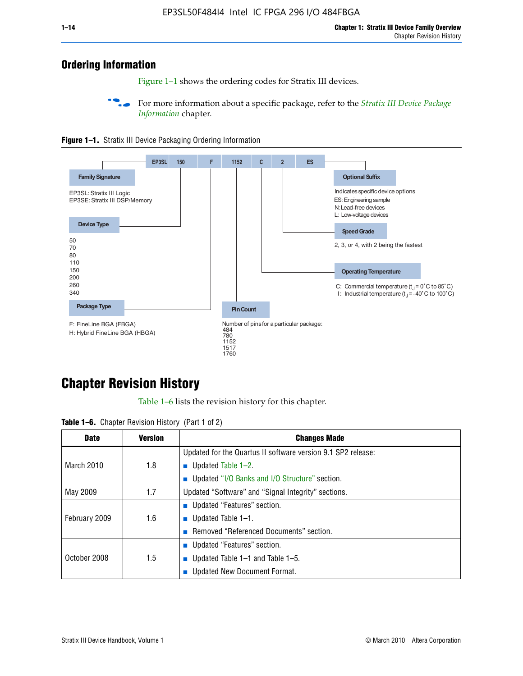## **Ordering Information**

Figure 1–1 shows the ordering codes for Stratix III devices.

For more information about a specific package, refer to the *Stratix III Device Package [Information](http://www.altera.com/literature/hb/stx3/stx3_siii51017.pdf)* chapter.





# **[C](http://www.altera.com/literature/hb/stx3/stx3_siii51012.pdf)hapter Revision History**

Table 1–6 lists the revision history for this chapter.

| <b>Table 1–6.</b> Chapter Revision History (Part 1 of 2) |  |  |  |  |  |
|----------------------------------------------------------|--|--|--|--|--|
|----------------------------------------------------------|--|--|--|--|--|

| <b>Date</b>       | <b>Version</b> | <b>Changes Made</b>                                          |
|-------------------|----------------|--------------------------------------------------------------|
|                   |                | Updated for the Quartus II software version 9.1 SP2 release: |
| <b>March 2010</b> | 1.8            | <b>u</b> Updated Table $1-2$ .                               |
|                   |                | ■ Updated "I/O Banks and I/O Structure" section.             |
| May 2009          | 1.7            | Updated "Software" and "Signal Integrity" sections.          |
|                   |                | ■ Updated "Features" section.                                |
| February 2009     | 1.6            | <b>u</b> Updated Table $1-1$ .                               |
|                   |                | Removed "Referenced Documents" section.                      |
|                   |                | ■ Updated "Features" section.                                |
| October 2008      | 1.5            | ■ Updated Table $1-1$ and Table $1-5$ .                      |
|                   |                | Updated New Document Format.                                 |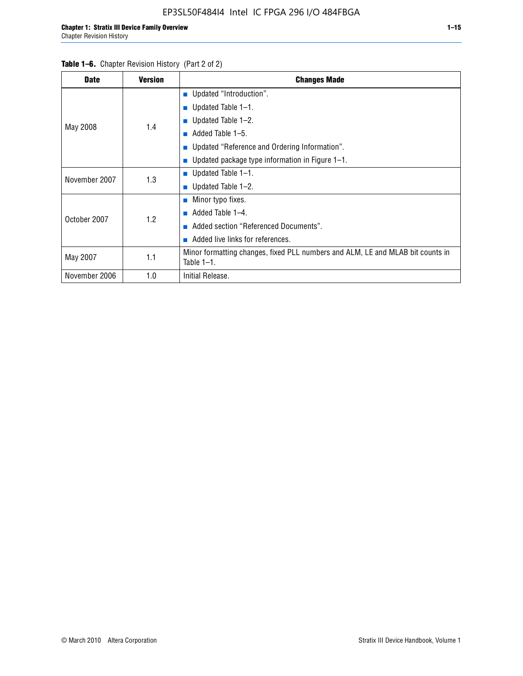#### Table 1–6. Chapter Revision History (Part 2 of 2)

| <b>Date</b>   | <b>Version</b> | <b>Changes Made</b>                                                                             |  |  |  |
|---------------|----------------|-------------------------------------------------------------------------------------------------|--|--|--|
|               |                | <b>Updated "Introduction".</b>                                                                  |  |  |  |
|               |                | $\blacksquare$ Updated Table 1-1.                                                               |  |  |  |
|               | 1.4            | <b>u</b> Updated Table $1-2$ .                                                                  |  |  |  |
| May 2008      |                | Added Table 1-5.<br>m.                                                                          |  |  |  |
|               |                | ■ Updated "Reference and Ordering Information".                                                 |  |  |  |
|               |                | ■ Updated package type information in Figure $1-1$ .                                            |  |  |  |
| November 2007 | 1.3            | $\blacksquare$ Updated Table 1-1.                                                               |  |  |  |
|               |                | $\blacksquare$ Updated Table 1-2.                                                               |  |  |  |
|               |                | $\blacksquare$ Minor typo fixes.                                                                |  |  |  |
| October 2007  | 1.2            | Added Table 1-4.                                                                                |  |  |  |
|               |                | Added section "Referenced Documents".                                                           |  |  |  |
|               |                | Added live links for references.                                                                |  |  |  |
| May 2007      | 1.1            | Minor formatting changes, fixed PLL numbers and ALM, LE and MLAB bit counts in<br>Table $1-1$ . |  |  |  |
| November 2006 | 1.0            | Initial Release.                                                                                |  |  |  |